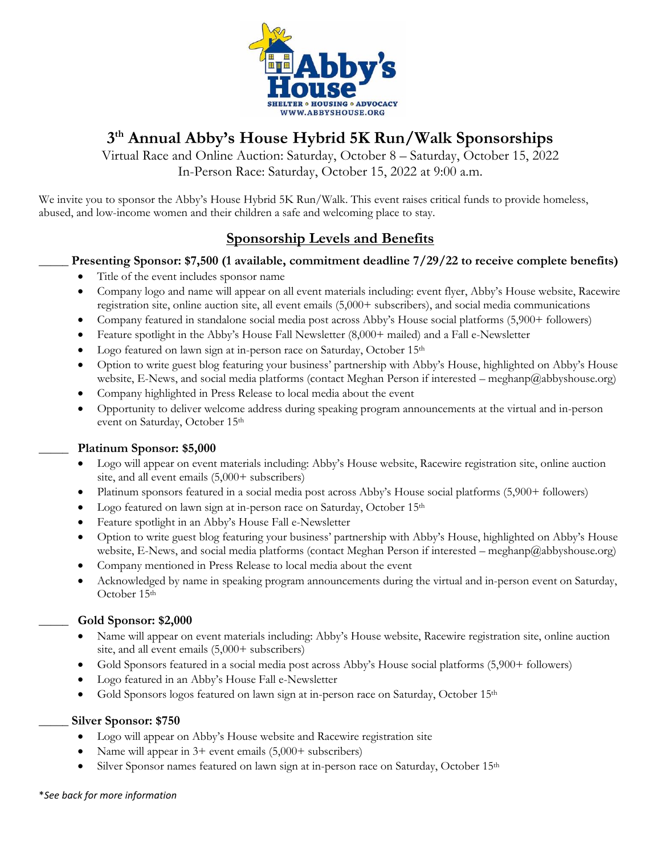

# **3 th Annual Abby's House Hybrid 5K Run/Walk Sponsorships**

Virtual Race and Online Auction: Saturday, October 8 – Saturday, October 15, 2022 In-Person Race: Saturday, October 15, 2022 at 9:00 a.m.

We invite you to sponsor the Abby's House Hybrid 5K Run/Walk. This event raises critical funds to provide homeless, abused, and low-income women and their children a safe and welcoming place to stay.

# **Sponsorship Levels and Benefits**

## **\_\_\_\_\_ Presenting Sponsor: \$7,500 (1 available, commitment deadline 7/29/22 to receive complete benefits)**

- Title of the event includes sponsor name
- Company logo and name will appear on all event materials including: event flyer, Abby's House website, Racewire registration site, online auction site, all event emails (5,000+ subscribers), and social media communications
- Company featured in standalone social media post across Abby's House social platforms (5,900+ followers)
- Feature spotlight in the Abby's House Fall Newsletter (8,000+ mailed) and a Fall e-Newsletter
- Logo featured on lawn sign at in-person race on Saturday, October 15<sup>th</sup>
- Option to write guest blog featuring your business' partnership with Abby's House, highlighted on Abby's House website, E-News, and social media platforms (contact Meghan Person if interested – meghanp@abbyshouse.org)
- Company highlighted in Press Release to local media about the event
- Opportunity to deliver welcome address during speaking program announcements at the virtual and in-person event on Saturday, October 15th

## **\_\_\_\_\_ Platinum Sponsor: \$5,000**

- Logo will appear on event materials including: Abby's House website, Racewire registration site, online auction site, and all event emails  $(5,000+$  subscribers)
- Platinum sponsors featured in a social media post across Abby's House social platforms (5,900+ followers)
- Logo featured on lawn sign at in-person race on Saturday, October 15<sup>th</sup>
- Feature spotlight in an Abby's House Fall e-Newsletter
- Option to write guest blog featuring your business' partnership with Abby's House, highlighted on Abby's House website, E-News, and social media platforms (contact Meghan Person if interested – meghanp@abbyshouse.org)
- Company mentioned in Press Release to local media about the event
- Acknowledged by name in speaking program announcements during the virtual and in-person event on Saturday, October 15th

#### **\_\_\_\_\_ Gold Sponsor: \$2,000**

- Name will appear on event materials including: Abby's House website, Racewire registration site, online auction site, and all event emails  $(5,000+$  subscribers)
- Gold Sponsors featured in a social media post across Abby's House social platforms (5,900+ followers)
- Logo featured in an Abby's House Fall e-Newsletter
- Gold Sponsors logos featured on lawn sign at in-person race on Saturday, October 15<sup>th</sup>

#### **\_\_\_\_\_ Silver Sponsor: \$750**

- Logo will appear on Abby's House website and Racewire registration site
- Name will appear in 3+ event emails (5,000+ subscribers)
- Silver Sponsor names featured on lawn sign at in-person race on Saturday, October 15<sup>th</sup>

#### \**See back for more information*